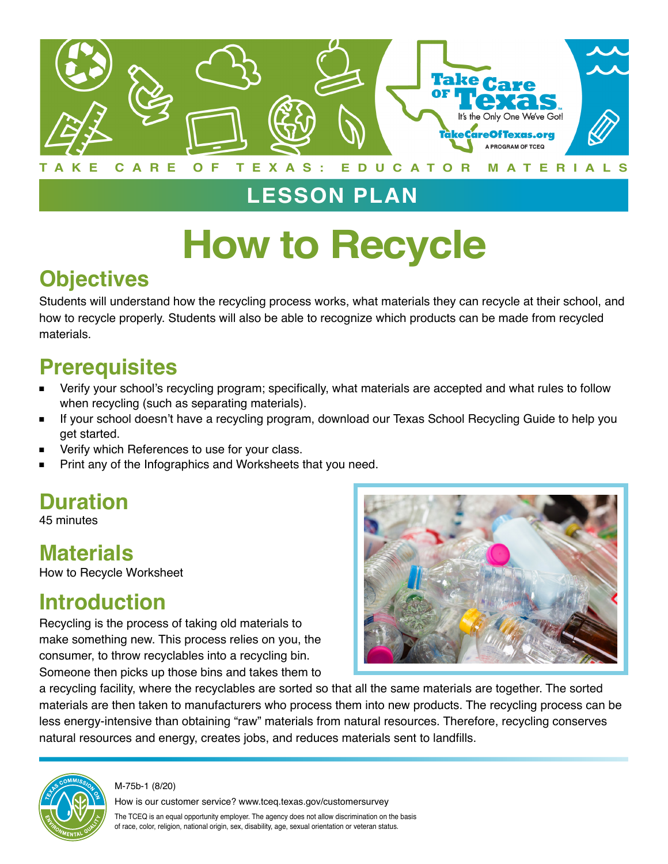

# **LESSON PLAN**

# **How to Recycle**

# **Objectives**

Students will understand how the recycling process works, what materials they can recycle at their school, and how to recycle properly. Students will also be able to recognize which products can be made from recycled materials.

## **Prerequisites**

- Verify your school's recycling program; specifically, what materials are accepted and what rules to follow when recycling (such as separating materials).
- If your school doesn't have a recycling program, download our Texas School Recycling Guide to help you get started.
- Verify which References to use for your class.
- Print any of the Infographics and Worksheets that you need.

# **Duration**

45 minutes

## **Materials**

How to Recycle Worksheet

#### **Introduction**

Recycling is the process of taking old materials to make something new. This process relies on you, the consumer, to throw recyclables into a recycling bin. Someone then picks up those bins and takes them to



a recycling facility, where the recyclables are sorted so that all the same materials are together. The sorted materials are then taken to manufacturers who process them into new products. The recycling process can be less energy-intensive than obtaining "raw" materials from natural resources. Therefore, recycling conserves natural resources and energy, creates jobs, and reduces materials sent to landfills.



M-75b-1 (8/20)

How is our customer service? www.tceq.texas.gov/customersurvey

The TCEQ is an equal opportunity employer. The agency does not allow discrimination on the basis of race, color, religion, national origin, sex, disability, age, sexual orientation or veteran status.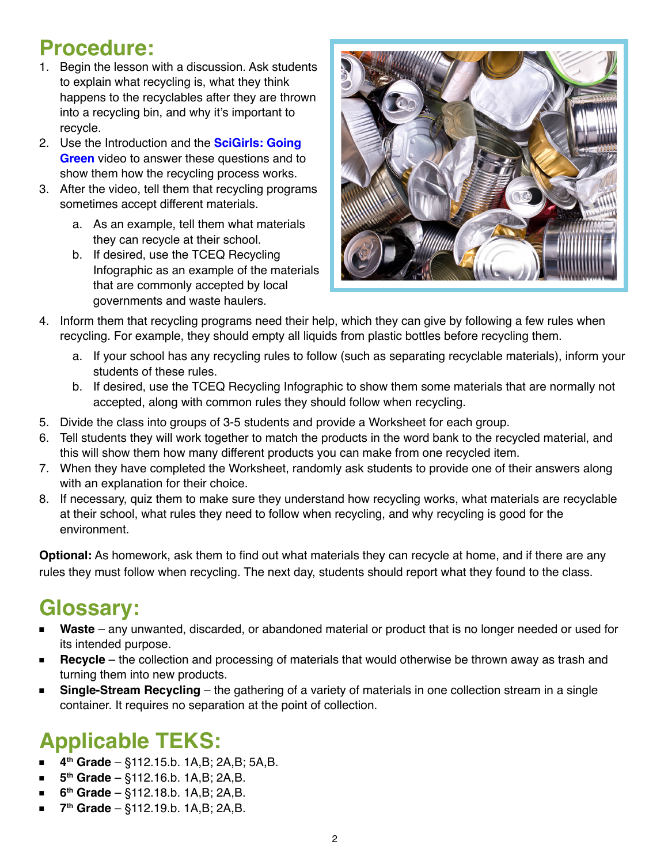#### **Procedure:**

- 1. Begin the lesson with a discussion. Ask students to explain what recycling is, what they think happens to the recyclables after they are thrown into a recycling bin, and why it's important to recycle.
- 2. Use the Introduction and the **SciGirls: Going Green** video to answer these questions and to show them how the recycling process works.
- 3. After the video, tell them that recycling programs sometimes accept different materials.
	- a. As an example, tell them what materials they can recycle at their school.
	- b. If desired, use the TCEQ Recycling Infographic as an example of the materials that are commonly accepted by local governments and waste haulers.



- 4. Inform them that recycling programs need their help, which they can give by following a few rules when recycling. For example, they should empty all liquids from plastic bottles before recycling them.
	- a. If your school has any recycling rules to follow (such as separating recyclable materials), inform your students of these rules.
	- b. If desired, use the TCEQ Recycling Infographic to show them some materials that are normally not accepted, along with common rules they should follow when recycling.
- 5. Divide the class into groups of 3-5 students and provide a Worksheet for each group.
- 6. Tell students they will work together to match the products in the word bank to the recycled material, and this will show them how many different products you can make from one recycled item.
- 7. When they have completed the Worksheet, randomly ask students to provide one of their answers along with an explanation for their choice.
- 8. If necessary, quiz them to make sure they understand how recycling works, what materials are recyclable at their school, what rules they need to follow when recycling, and why recycling is good for the environment.

**Optional:** As homework, ask them to find out what materials they can recycle at home, and if there are any rules they must follow when recycling. The next day, students should report what they found to the class.

## **Glossary:**

- Waste any unwanted, discarded, or abandoned material or product that is no longer needed or used for its intended purpose.
- Recycle the collection and processing of materials that would otherwise be thrown away as trash and turning them into new products.
- **Single-Stream Recycling** the gathering of a variety of materials in one collection stream in a single container. It requires no separation at the point of collection.

# **Applicable TEKS:**

- **4th Grade**  §112.15.b. 1A,B; 2A,B; 5A,B.
- **5th Grade**  §112.16.b. 1A,B; 2A,B.
- **6th Grade**  §112.18.b. 1A,B; 2A,B.
- **7th Grade**  §112.19.b. 1A,B; 2A,B.